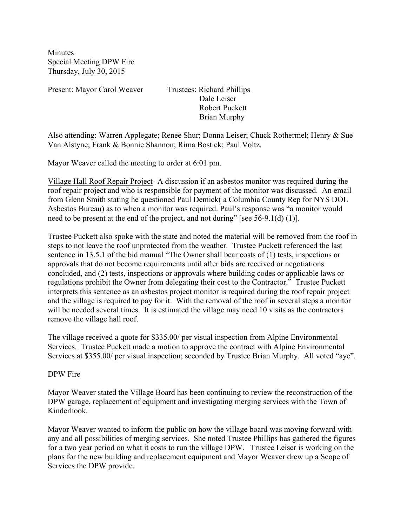**Minutes** Special Meeting DPW Fire Thursday, July 30, 2015

Present: Mayor Carol Weaver Trustees: Richard Phillips

 Dale Leiser Robert Puckett Brian Murphy

Also attending: Warren Applegate; Renee Shur; Donna Leiser; Chuck Rothermel; Henry & Sue Van Alstyne; Frank & Bonnie Shannon; Rima Bostick; Paul Voltz.

Mayor Weaver called the meeting to order at 6:01 pm.

Village Hall Roof Repair Project- A discussion if an asbestos monitor was required during the roof repair project and who is responsible for payment of the monitor was discussed. An email from Glenn Smith stating he questioned Paul Demick( a Columbia County Rep for NYS DOL Asbestos Bureau) as to when a monitor was required. Paul's response was "a monitor would need to be present at the end of the project, and not during" [see 56-9.1(d) (1)].

Trustee Puckett also spoke with the state and noted the material will be removed from the roof in steps to not leave the roof unprotected from the weather. Trustee Puckett referenced the last sentence in 13.5.1 of the bid manual "The Owner shall bear costs of (1) tests, inspections or approvals that do not become requirements until after bids are received or negotiations concluded, and (2) tests, inspections or approvals where building codes or applicable laws or regulations prohibit the Owner from delegating their cost to the Contractor." Trustee Puckett interprets this sentence as an asbestos project monitor is required during the roof repair project and the village is required to pay for it. With the removal of the roof in several steps a monitor will be needed several times. It is estimated the village may need 10 visits as the contractors remove the village hall roof.

The village received a quote for \$335.00/ per visual inspection from Alpine Environmental Services. Trustee Puckett made a motion to approve the contract with Alpine Environmental Services at \$355.00/ per visual inspection; seconded by Trustee Brian Murphy. All voted "aye".

## DPW Fire

Mayor Weaver stated the Village Board has been continuing to review the reconstruction of the DPW garage, replacement of equipment and investigating merging services with the Town of Kinderhook.

Mayor Weaver wanted to inform the public on how the village board was moving forward with any and all possibilities of merging services. She noted Trustee Phillips has gathered the figures for a two year period on what it costs to run the village DPW. Trustee Leiser is working on the plans for the new building and replacement equipment and Mayor Weaver drew up a Scope of Services the DPW provide.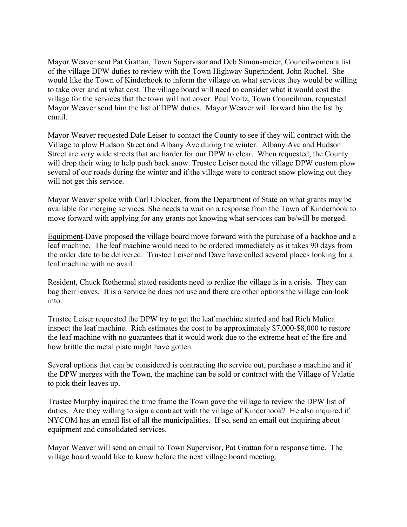Mayor Weaver sent Pat Grattan, Town Supervisor and Deb Simonsmeier, Councilwomen a list of the village DPW duties to review with the Town Highway Superindent, John Ruchel. She would like the Town of Kinderhook to inform the village on what services they would be willing to take over and at what cost. The village board will need to consider what it would cost the village for the services that the town will not cover. Paul Voltz, Town Councilman, requested Mayor Weaver send him the list of DPW duties. Mayor Weaver will forward him the list by email.

Mayor Weaver requested Dale Leiser to contact the County to see if they will contract with the Village to plow Hudson Street and Albany Ave during the winter. Albany Ave and Hudson Street are very wide streets that are harder for our DPW to clear. When requested, the County will drop their wing to help push back snow. Trustee Leiser noted the village DPW custom plow several of our roads during the winter and if the village were to contract snow plowing out they will not get this service.

Mayor Weaver spoke with Carl Ublocker, from the Department of State on what grants may be available for merging services. She needs to wait on a response from the Town of Kinderhook to move forward with applying for any grants not knowing what services can be/will be merged.

Equipment-Dave proposed the village board move forward with the purchase of a backhoe and a leaf machine. The leaf machine would need to be ordered immediately as it takes 90 days from the order date to be delivered. Trustee Leiser and Dave have called several places looking for a leaf machine with no avail.

Resident, Chuck Rothermel stated residents need to realize the village is in a crisis. They can bag their leaves. It is a service he does not use and there are other options the village can look into.

Trustee Leiser requested the DPW try to get the leaf machine started and had Rich Mulica inspect the leaf machine. Rich estimates the cost to be approximately \$7,000-\$8,000 to restore the leaf machine with no guarantees that it would work due to the extreme heat of the fire and how brittle the metal plate might have gotten.

Several options that can be considered is contracting the service out, purchase a machine and if the DPW merges with the Town, the machine can be sold or contract with the Village of Valatie to pick their leaves up.

Trustee Murphy inquired the time frame the Town gave the village to review the DPW list of duties. Are they willing to sign a contract with the village of Kinderhook? He also inquired if NYCOM has an email list of all the municipalities. If so, send an email out inquiring about equipment and consolidated services.

Mayor Weaver will send an email to Town Supervisor, Pat Grattan for a response time. The village board would like to know before the next village board meeting.